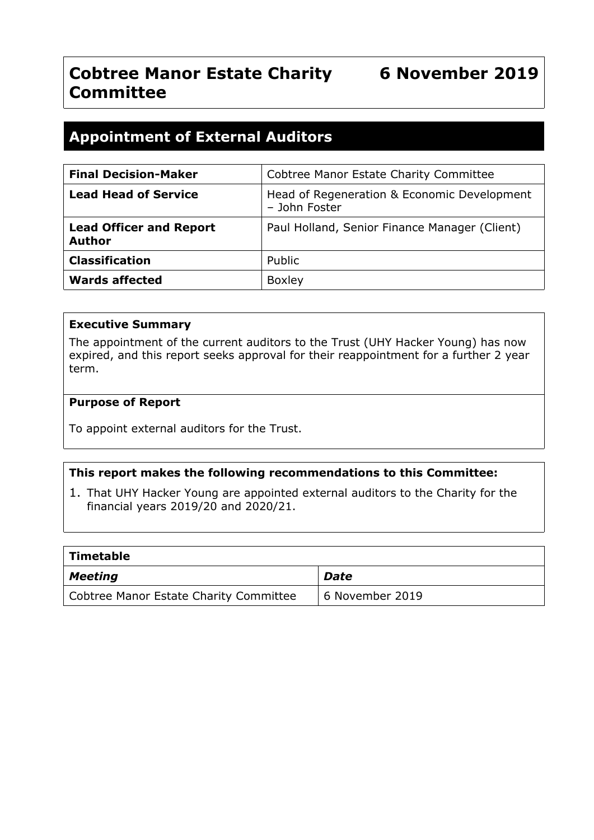# **Cobtree Manor Estate Charity 6 November 2019 Committee**

# **Appointment of External Auditors**

| <b>Final Decision-Maker</b>                     | Cobtree Manor Estate Charity Committee                       |
|-------------------------------------------------|--------------------------------------------------------------|
| <b>Lead Head of Service</b>                     | Head of Regeneration & Economic Development<br>- John Foster |
| <b>Lead Officer and Report</b><br><b>Author</b> | Paul Holland, Senior Finance Manager (Client)                |
| <b>Classification</b>                           | Public                                                       |
| <b>Wards affected</b>                           | <b>Boxley</b>                                                |

#### **Executive Summary**

The appointment of the current auditors to the Trust (UHY Hacker Young) has now expired, and this report seeks approval for their reappointment for a further 2 year term.

#### **Purpose of Report**

To appoint external auditors for the Trust.

#### **This report makes the following recommendations to this Committee:**

1. That UHY Hacker Young are appointed external auditors to the Charity for the financial years 2019/20 and 2020/21.

| Timetable                              |                 |
|----------------------------------------|-----------------|
| $\vert$ Meeting                        | Date            |
| Cobtree Manor Estate Charity Committee | 6 November 2019 |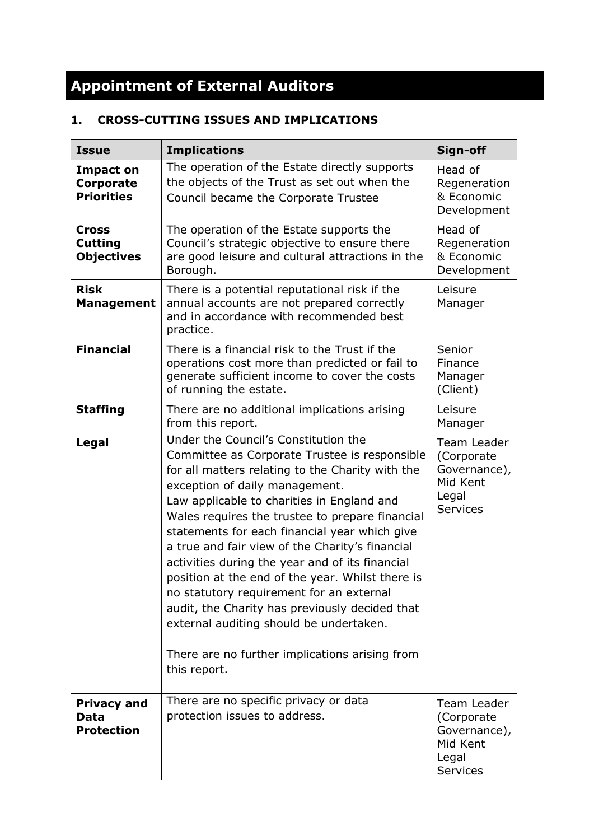# **Appointment of External Auditors**

# **1. CROSS-CUTTING ISSUES AND IMPLICATIONS**

| <b>Issue</b>                                       | <b>Implications</b>                                                                                                                                                                                                                                                                                                                                                                                                                                                                                                                                                                                                                                                                                | Sign-off                                                                           |
|----------------------------------------------------|----------------------------------------------------------------------------------------------------------------------------------------------------------------------------------------------------------------------------------------------------------------------------------------------------------------------------------------------------------------------------------------------------------------------------------------------------------------------------------------------------------------------------------------------------------------------------------------------------------------------------------------------------------------------------------------------------|------------------------------------------------------------------------------------|
| <b>Impact on</b><br>Corporate<br><b>Priorities</b> | The operation of the Estate directly supports<br>the objects of the Trust as set out when the<br>Council became the Corporate Trustee                                                                                                                                                                                                                                                                                                                                                                                                                                                                                                                                                              | Head of<br>Regeneration<br>& Economic<br>Development                               |
| Cross<br><b>Cutting</b><br><b>Objectives</b>       | The operation of the Estate supports the<br>Council's strategic objective to ensure there<br>are good leisure and cultural attractions in the<br>Borough.                                                                                                                                                                                                                                                                                                                                                                                                                                                                                                                                          | Head of<br>Regeneration<br>& Economic<br>Development                               |
| <b>Risk</b><br><b>Management</b>                   | There is a potential reputational risk if the<br>annual accounts are not prepared correctly<br>and in accordance with recommended best<br>practice.                                                                                                                                                                                                                                                                                                                                                                                                                                                                                                                                                | Leisure<br>Manager                                                                 |
| <b>Financial</b>                                   | There is a financial risk to the Trust if the<br>operations cost more than predicted or fail to<br>generate sufficient income to cover the costs<br>of running the estate.                                                                                                                                                                                                                                                                                                                                                                                                                                                                                                                         | Senior<br>Finance<br>Manager<br>(Client)                                           |
| <b>Staffing</b>                                    | There are no additional implications arising<br>from this report.                                                                                                                                                                                                                                                                                                                                                                                                                                                                                                                                                                                                                                  | Leisure<br>Manager                                                                 |
| Legal                                              | Under the Council's Constitution the<br>Committee as Corporate Trustee is responsible<br>for all matters relating to the Charity with the<br>exception of daily management.<br>Law applicable to charities in England and<br>Wales requires the trustee to prepare financial<br>statements for each financial year which give<br>a true and fair view of the Charity's financial<br>activities during the year and of its financial<br>position at the end of the year. Whilst there is<br>no statutory requirement for an external<br>audit, the Charity has previously decided that<br>external auditing should be undertaken.<br>There are no further implications arising from<br>this report. | Team Leader<br>(Corporate<br>Governance),<br>Mid Kent<br>Legal<br><b>Services</b>  |
| <b>Privacy and</b><br>Data<br><b>Protection</b>    | There are no specific privacy or data<br>protection issues to address.                                                                                                                                                                                                                                                                                                                                                                                                                                                                                                                                                                                                                             | Team Leader<br>(Corporate)<br>Governance),<br>Mid Kent<br>Legal<br><b>Services</b> |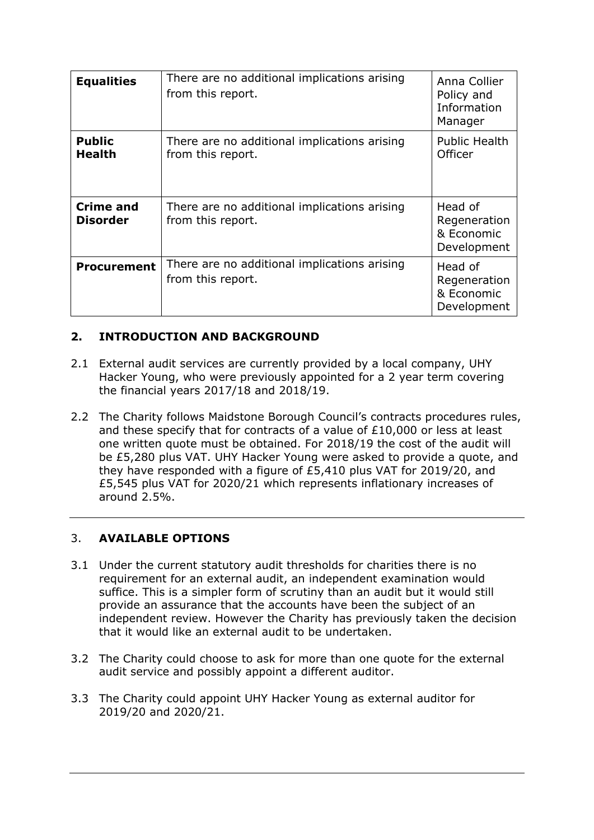| <b>Equalities</b>                   | There are no additional implications arising<br>from this report. | Anna Collier<br>Policy and<br>Information<br>Manager |
|-------------------------------------|-------------------------------------------------------------------|------------------------------------------------------|
| <b>Public</b><br><b>Health</b>      | There are no additional implications arising<br>from this report. | Public Health<br>Officer                             |
| <b>Crime and</b><br><b>Disorder</b> | There are no additional implications arising<br>from this report. | Head of<br>Regeneration<br>& Economic<br>Development |
| <b>Procurement</b>                  | There are no additional implications arising<br>from this report. | Head of<br>Regeneration<br>& Economic<br>Development |

# **2. INTRODUCTION AND BACKGROUND**

- 2.1 External audit services are currently provided by a local company, UHY Hacker Young, who were previously appointed for a 2 year term covering the financial years 2017/18 and 2018/19.
- 2.2 The Charity follows Maidstone Borough Council's contracts procedures rules, and these specify that for contracts of a value of £10,000 or less at least one written quote must be obtained. For 2018/19 the cost of the audit will be £5,280 plus VAT. UHY Hacker Young were asked to provide a quote, and they have responded with a figure of £5,410 plus VAT for 2019/20, and £5,545 plus VAT for 2020/21 which represents inflationary increases of around 2.5%.

# 3. **AVAILABLE OPTIONS**

- 3.1 Under the current statutory audit thresholds for charities there is no requirement for an external audit, an independent examination would suffice. This is a simpler form of scrutiny than an audit but it would still provide an assurance that the accounts have been the subject of an independent review. However the Charity has previously taken the decision that it would like an external audit to be undertaken.
- 3.2 The Charity could choose to ask for more than one quote for the external audit service and possibly appoint a different auditor.
- 3.3 The Charity could appoint UHY Hacker Young as external auditor for 2019/20 and 2020/21.